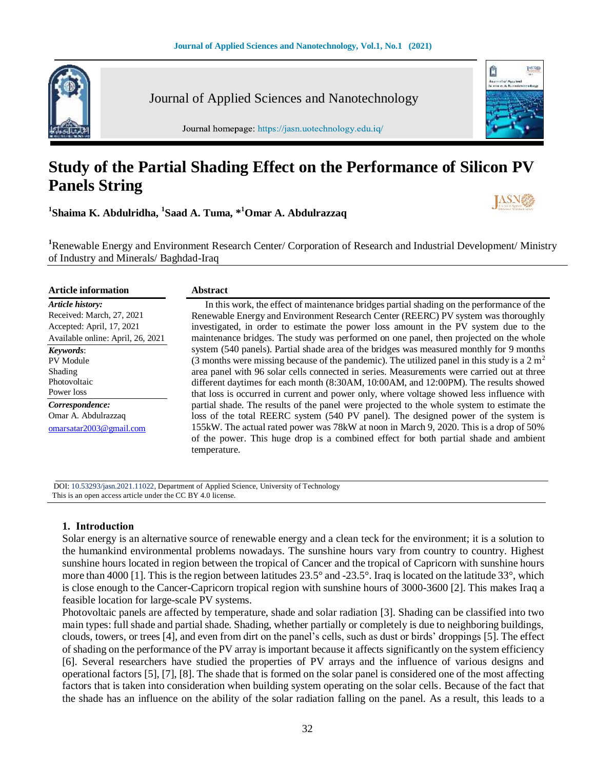

Journal of Applied Sciences and Nanotechnology

Journal homepage: https://jasn.uotechnology.edu.iq/

# **Study of the Partial Shading Effect on the Performance of Silicon PV Panels String**

**1 Shaima K. Abdulridha, 1 Saad A. Tuma, \* <sup>1</sup>Omar A. Abdulrazzaq**



û

1538

**<sup>1</sup>**Renewable Energy and Environment Research Center/ Corporation of Research and Industrial Development/ Ministry of Industry and Minerals/ Baghdad-Iraq

| <b>Article information</b>        | <b>Abstract</b>                                                                               |
|-----------------------------------|-----------------------------------------------------------------------------------------------|
| Article history:                  | In this work, the effect of maintenance bridges partial shading on the performance of the     |
| Received: March, 27, 2021         | Renewable Energy and Environment Research Center (REERC) PV system was thoroughly             |
| Accepted: April, 17, 2021         | investigated, in order to estimate the power loss amount in the PV system due to the          |
| Available online: April, 26, 2021 | maintenance bridges. The study was performed on one panel, then projected on the whole        |
| Keywords:                         | system (540 panels). Partial shade area of the bridges was measured monthly for 9 months      |
| PV Module                         | (3 months were missing because of the pandemic). The utilized panel in this study is a $2 m2$ |
| Shading                           | area panel with 96 solar cells connected in series. Measurements were carried out at three    |
| Photovoltaic                      | different daytimes for each month (8:30AM, 10:00AM, and 12:00PM). The results showed          |
| Power loss                        | that loss is occurred in current and power only, where voltage showed less influence with     |
| Correspondence:                   | partial shade. The results of the panel were projected to the whole system to estimate the    |
| Omar A. Abdulrazzag               | loss of the total REERC system (540 PV panel). The designed power of the system is            |
| omarsatar2003@gmail.com           | 155kW. The actual rated power was 78kW at noon in March 9, 2020. This is a drop of 50%        |
|                                   | of the power. This huge drop is a combined effect for both partial shade and ambient          |
|                                   | temperature.                                                                                  |

 DOI: 10.53293/jasn.2021.11022, Department of Applied Science, University of Technology This is an open access article under the CC BY 4.0 license.

### **1. Introduction**

Solar energy is an alternative source of renewable energy and a clean teck for the environment; it is a solution to the humankind environmental problems nowadays. The sunshine hours vary from country to country. Highest sunshine hours located in region between the tropical of Cancer and the tropical of Capricorn with sunshine hours more than 4000 [1]. This is the region between latitudes 23.5° and -23.5°. Iraq is located on the latitude 33°, which is close enough to the Cancer-Capricorn tropical region with sunshine hours of 3000-3600 [2]. This makes Iraq a feasible location for large-scale PV systems.

Photovoltaic panels are affected by temperature, shade and solar radiation [3]. Shading can be classified into two main types: full shade and partial shade. Shading, whether partially or completely is due to neighboring buildings, clouds, towers, or trees [4], and even from dirt on the panel's cells, such as dust or birds' droppings [5]. The effect of shading on the performance of the PV array is important because it affects significantly on the system efficiency [6]. Several researchers have studied the properties of PV arrays and the influence of various designs and operational factors [5], [7], [8]. The shade that is formed on the solar panel is considered one of the most affecting factors that is taken into consideration when building system operating on the solar cells. Because of the fact that the shade has an influence on the ability of the solar radiation falling on the panel. As a result, this leads to a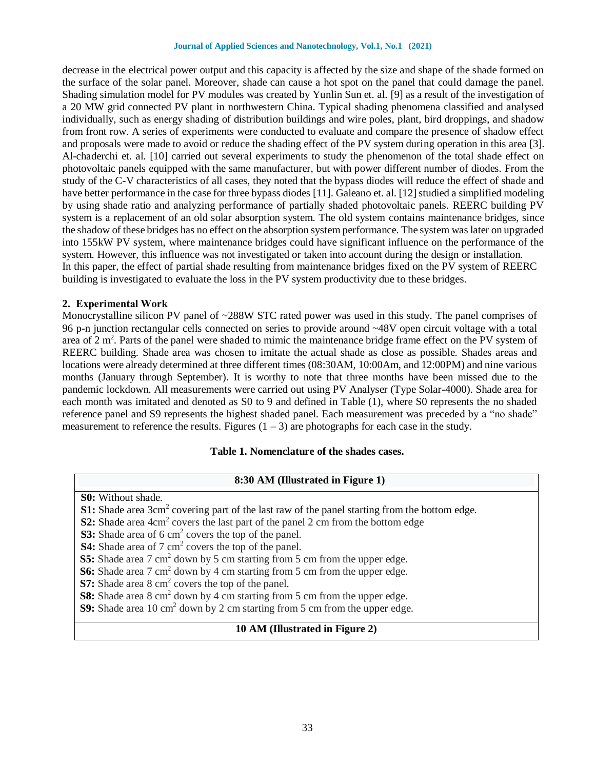#### **Journal of Applied Sciences and Nanotechnology, Vol.1, No.1 (2021)**

decrease in the electrical power output and this capacity is affected by the size and shape of the shade formed on the surface of the solar panel. Moreover, shade can cause a hot spot on the panel that could damage the panel. Shading simulation model for PV modules was created by Yunlin Sun et. al. [9] as a result of the investigation of a 20 MW grid connected PV plant in northwestern China. Typical shading phenomena classified and analysed individually, such as energy shading of distribution buildings and wire poles, plant, bird droppings, and shadow from front row. A series of experiments were conducted to evaluate and compare the presence of shadow effect and proposals were made to avoid or reduce the shading effect of the PV system during operation in this area [3]. Al-chaderchi et. al. [10] carried out several experiments to study the phenomenon of the total shade effect on photovoltaic panels equipped with the same manufacturer, but with power different number of diodes. From the study of the C-V characteristics of all cases, they noted that the bypass diodes will reduce the effect of shade and have better performance in the case for three bypass diodes [11]. Galeano et. al. [12] studied a simplified modeling by using shade ratio and analyzing performance of partially shaded photovoltaic panels. REERC building PV system is a replacement of an old solar absorption system. The old system contains maintenance bridges, since the shadow of these bridges has no effect on the absorption system performance. The system was later on upgraded into 155kW PV system, where maintenance bridges could have significant influence on the performance of the system. However, this influence was not investigated or taken into account during the design or installation. In this paper, the effect of partial shade resulting from maintenance bridges fixed on the PV system of REERC building is investigated to evaluate the loss in the PV system productivity due to these bridges.

#### **2. Experimental Work**

Monocrystalline silicon PV panel of ~288W STC rated power was used in this study. The panel comprises of 96 p-n junction rectangular cells connected on series to provide around ~48V open circuit voltage with a total area of 2 m<sup>2</sup>. Parts of the panel were shaded to mimic the maintenance bridge frame effect on the PV system of REERC building. Shade area was chosen to imitate the actual shade as close as possible. Shades areas and locations were already determined at three different times (08:30AM, 10:00Am, and 12:00PM) and nine various months (January through September). It is worthy to note that three months have been missed due to the pandemic lockdown. All measurements were carried out using PV Analyser (Type Solar-4000). Shade area for each month was imitated and denoted as S0 to 9 and defined in Table (1), where S0 represents the no shaded reference panel and S9 represents the highest shaded panel. Each measurement was preceded by a "no shade" measurement to reference the results. Figures  $(1 – 3)$  are photographs for each case in the study.

#### **Table 1. Nomenclature of the shades cases.**

### **8:30 AM (Illustrated in Figure 1)**

- **S0:** Without shade.
- **S1:** Shade area 3cm<sup>2</sup> covering part of the last raw of the panel starting from the bottom edge.
- **S2:** Shade area 4cm<sup>2</sup> covers the last part of the panel 2 cm from the bottom edge
- **S3:** Shade area of 6 cm<sup>2</sup> covers the top of the panel.
- **S4:** Shade area of 7 cm<sup>2</sup> covers the top of the panel.
- **S5:** Shade area 7 cm<sup>2</sup> down by 5 cm starting from 5 cm from the upper edge.
- **S6:** Shade area 7 cm<sup>2</sup> down by 4 cm starting from 5 cm from the upper edge.
- **S7:** Shade area 8 cm<sup>2</sup> covers the top of the panel.

**S8:** Shade area 8 cm<sup>2</sup> down by 4 cm starting from 5 cm from the upper edge.

**S9:** Shade area 10 cm<sup>2</sup> down by 2 cm starting from 5 cm from the upper edge.

#### **10 AM (Illustrated in Figure 2)**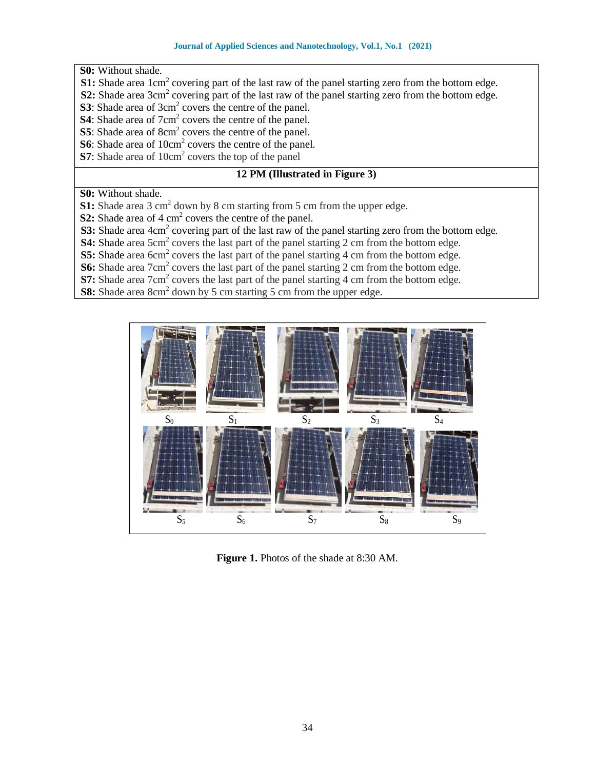**S0:** Without shade.

- **S1:** Shade area 1cm<sup>2</sup> covering part of the last raw of the panel starting zero from the bottom edge.
- **S2:** Shade area 3cm<sup>2</sup> covering part of the last raw of the panel starting zero from the bottom edge.
- **S3**: Shade area of 3cm<sup>2</sup> covers the centre of the panel.
- **S4**: Shade area of 7cm<sup>2</sup> covers the centre of the panel.
- **S5**: Shade area of 8cm<sup>2</sup> covers the centre of the panel.
- **S6**: Shade area of 10cm<sup>2</sup> covers the centre of the panel.
- **S7**: Shade area of 10cm<sup>2</sup> covers the top of the panel

## **12 PM (Illustrated in Figure 3)**

**S0:** Without shade.

**S1:** Shade area 3 cm<sup>2</sup> down by 8 cm starting from 5 cm from the upper edge.

**S2:** Shade area of 4 cm<sup>2</sup> covers the centre of the panel.

**S3:** Shade area 4cm<sup>2</sup> covering part of the last raw of the panel starting zero from the bottom edge.

**S4:** Shade area 5cm<sup>2</sup> covers the last part of the panel starting 2 cm from the bottom edge.

**S5:** Shade area 6cm<sup>2</sup> covers the last part of the panel starting 4 cm from the bottom edge.

**S6:** Shade area 7cm<sup>2</sup> covers the last part of the panel starting 2 cm from the bottom edge.

**S7:** Shade area 7cm<sup>2</sup> covers the last part of the panel starting 4 cm from the bottom edge.

**S8:** Shade area 8cm<sup>2</sup> down by 5 cm starting 5 cm from the upper edge.



**Figure 1.** Photos of the shade at 8:30 AM.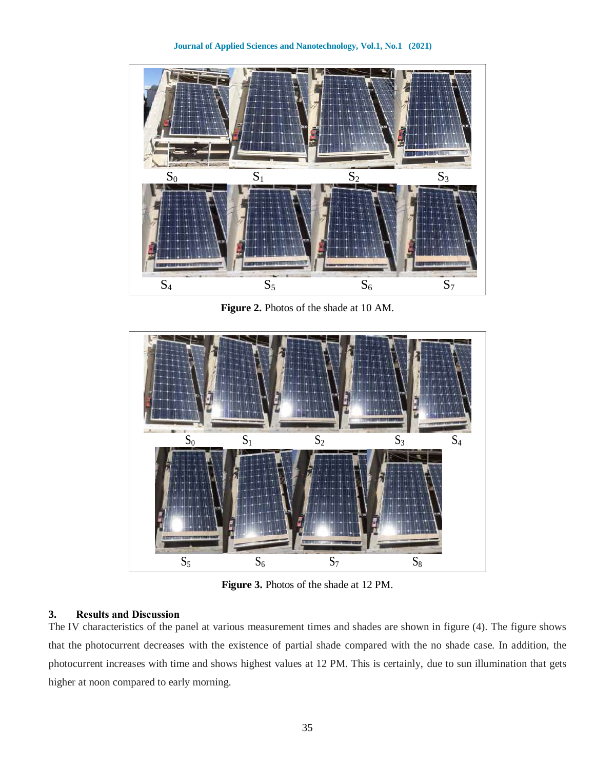**Journal of Applied Sciences and Nanotechnology, Vol.1, No.1 (2021)**



**Figure 2.** Photos of the shade at 10 AM.



**Figure 3.** Photos of the shade at 12 PM.

## **3. Results and Discussion**

The IV characteristics of the panel at various measurement times and shades are shown in figure (4). The figure shows that the photocurrent decreases with the existence of partial shade compared with the no shade case. In addition, the photocurrent increases with time and shows highest values at 12 PM. This is certainly, due to sun illumination that gets higher at noon compared to early morning.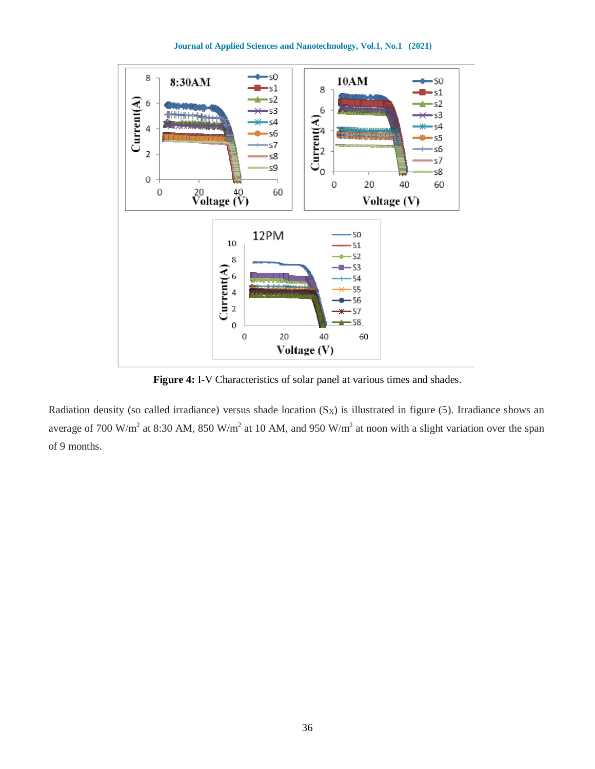**Journal of Applied Sciences and Nanotechnology, Vol.1, No.1 (2021)**



**Figure 4:** I-V Characteristics of solar panel at various times and shades.

Radiation density (so called irradiance) versus shade location  $(S_x)$  is illustrated in figure (5). Irradiance shows an average of 700 W/m<sup>2</sup> at 8:30 AM, 850 W/m<sup>2</sup> at 10 AM, and 950 W/m<sup>2</sup> at noon with a slight variation over the span of 9 months.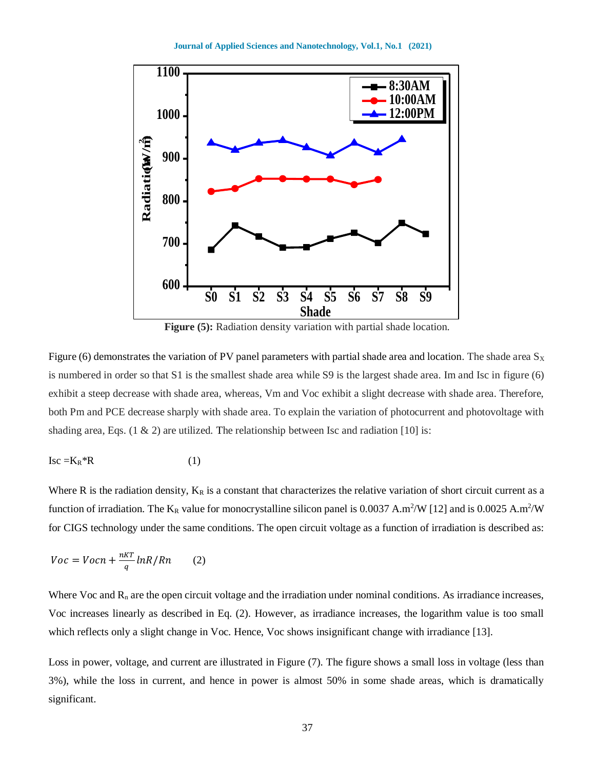

**Figure (5):** Radiation density variation with partial shade location.

Figure (6) demonstrates the variation of PV panel parameters with partial shade area and location. The shade area  $S_X$ is numbered in order so that S1 is the smallest shade area while S9 is the largest shade area. Im and Isc in figure (6) exhibit a steep decrease with shade area, whereas, Vm and Voc exhibit a slight decrease with shade area. Therefore, both Pm and PCE decrease sharply with shade area. To explain the variation of photocurrent and photovoltage with shading area, Eqs.  $(1 \& 2)$  are utilized. The relationship between Isc and radiation [10] is:

$$
Isc = K_R * R \tag{1}
$$

Where R is the radiation density,  $K_R$  is a constant that characterizes the relative variation of short circuit current as a function of irradiation. The  $K_R$  value for monocrystalline silicon panel is 0.0037 A.m<sup>2</sup>/W [12] and is 0.0025 A.m<sup>2</sup>/W for CIGS technology under the same conditions. The open circuit voltage as a function of irradiation is described as:

$$
Voc = Vocn + \frac{nKT}{q} lnR/Rn \qquad (2)
$$

Where Voc and  $R_n$  are the open circuit voltage and the irradiation under nominal conditions. As irradiance increases, Voc increases linearly as described in Eq. (2). However, as irradiance increases, the logarithm value is too small which reflects only a slight change in Voc. Hence, Voc shows insignificant change with irradiance [13].

Loss in power, voltage, and current are illustrated in Figure (7). The figure shows a small loss in voltage (less than 3%), while the loss in current, and hence in power is almost 50% in some shade areas, which is dramatically significant.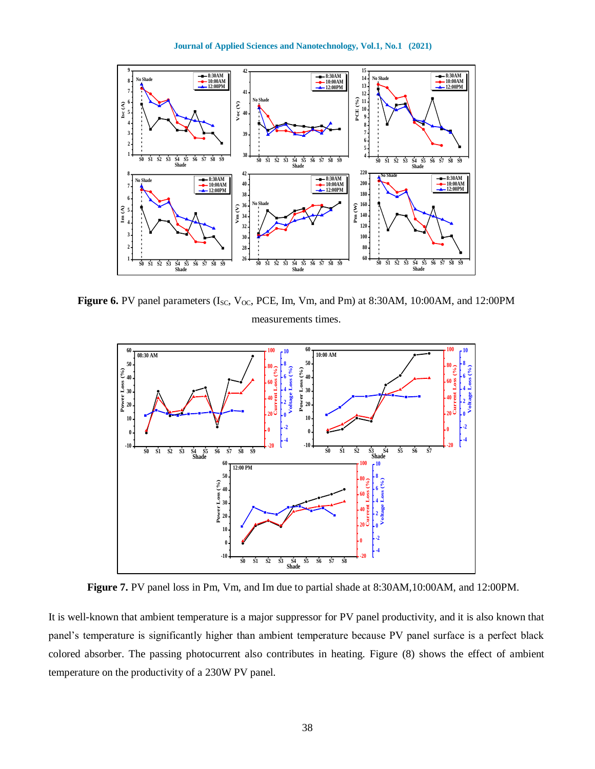**Journal of Applied Sciences and Nanotechnology, Vol.1, No.1 (2021)**



Figure 6. PV panel parameters (I<sub>SC</sub>, V<sub>OC</sub>, PCE, Im, Vm, and Pm) at 8:30AM, 10:00AM, and 12:00PM measurements times.



**Figure 7.** PV panel loss in Pm, Vm, and Im due to partial shade at 8:30AM,10:00AM, and 12:00PM.

It is well-known that ambient temperature is a major suppressor for PV panel productivity, and it is also known that panel's temperature is significantly higher than ambient temperature because PV panel surface is a perfect black colored absorber. The passing photocurrent also contributes in heating. Figure (8) shows the effect of ambient temperature on the productivity of a 230W PV panel.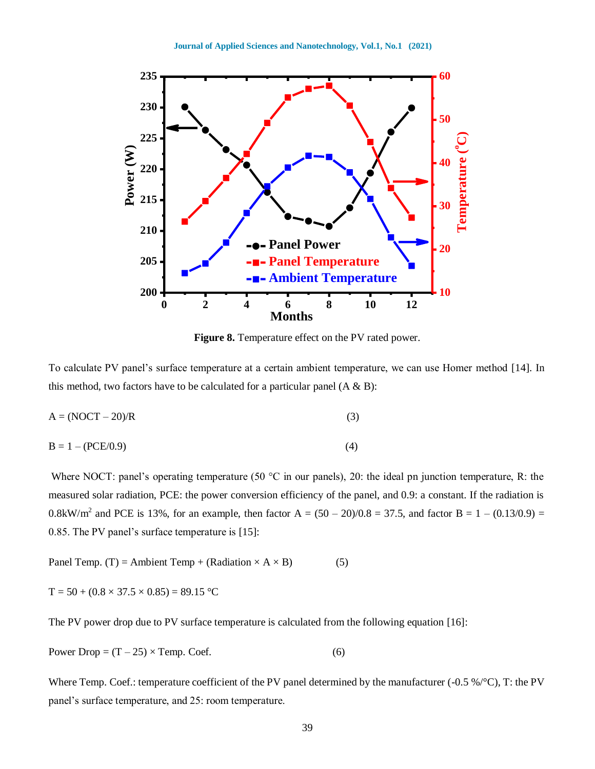

**Figure 8.** Temperature effect on the PV rated power.

To calculate PV panel's surface temperature at a certain ambient temperature, we can use Homer method [14]. In this method, two factors have to be calculated for a particular panel  $(A \& B)$ :

$$
A = (NOCT - 20)/R
$$
 (3)

$$
B = 1 - (PCE/0.9)
$$
 (4)

Where NOCT: panel's operating temperature (50 °C in our panels), 20: the ideal pn junction temperature, R: the measured solar radiation, PCE: the power conversion efficiency of the panel, and 0.9: a constant. If the radiation is 0.8kW/m<sup>2</sup> and PCE is 13%, for an example, then factor A =  $(50 - 20)/0.8 = 37.5$ , and factor B = 1 –  $(0.13/0.9) =$ 0.85. The PV panel's surface temperature is [15]:

Panel Temp. (T) = Ambient Temp + (Radiation  $\times$  A  $\times$  B) (5)

$$
T = 50 + (0.8 \times 37.5 \times 0.85) = 89.15 \,^{\circ}\mathrm{C}
$$

The PV power drop due to PV surface temperature is calculated from the following equation [16]:

Power Drop = 
$$
(T - 25) \times
$$
Temp. Coef. (6)

Where Temp. Coef.: temperature coefficient of the PV panel determined by the manufacturer (-0.5 %/°C), T: the PV panel's surface temperature, and 25: room temperature.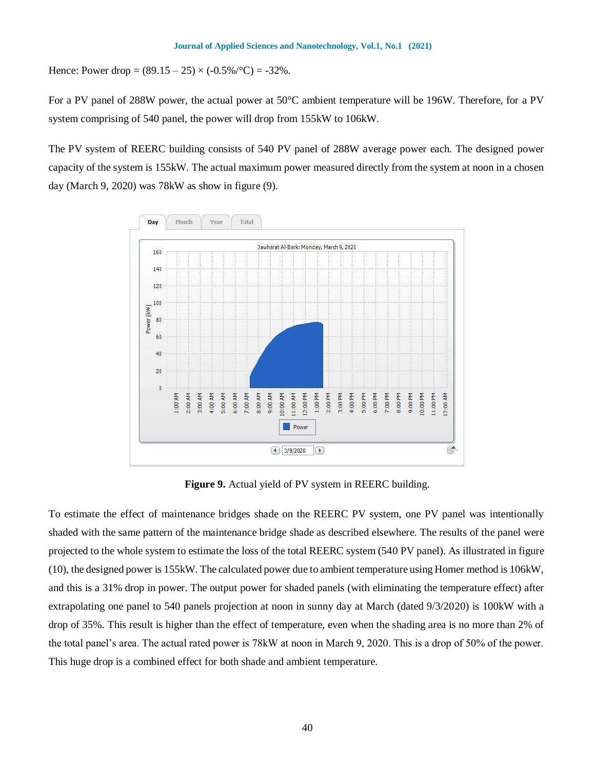Hence: Power drop =  $(89.15 - 25) \times (-0.5\%)^{\circ}\text{C}$  = -32%.

For a PV panel of 288W power, the actual power at 50°C ambient temperature will be 196W. Therefore, for a PV system comprising of 540 panel, the power will drop from 155kW to 106kW.

The PV system of REERC building consists of 540 PV panel of 288W average power each. The designed power capacity of the system is 155kW. The actual maximum power measured directly from the system at noon in a chosen day (March 9, 2020) was 78kW as show in figure (9).



**Figure 9.** Actual yield of PV system in REERC building.

To estimate the effect of maintenance bridges shade on the REERC PV system, one PV panel was intentionally shaded with the same pattern of the maintenance bridge shade as described elsewhere. The results of the panel were projected to the whole system to estimate the loss of the total REERC system (540 PV panel). As illustrated in figure (10), the designed power is 155kW. The calculated power due to ambient temperature using Homer method is 106kW, and this is a 31% drop in power. The output power for shaded panels (with eliminating the temperature effect) after extrapolating one panel to 540 panels projection at noon in sunny day at March (dated 9/3/2020) is 100kW with a drop of 35%. This result is higher than the effect of temperature, even when the shading area is no more than 2% of the total panel's area. The actual rated power is 78kW at noon in March 9, 2020. This is a drop of 50% of the power. This huge drop is a combined effect for both shade and ambient temperature.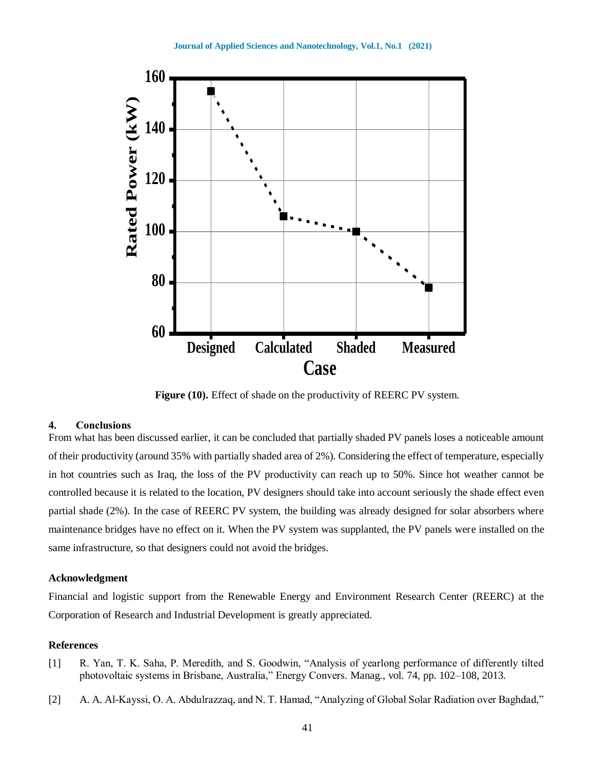

**Figure (10).** Effect of shade on the productivity of REERC PV system.

#### **4. Conclusions**

From what has been discussed earlier, it can be concluded that partially shaded PV panels loses a noticeable amount of their productivity (around 35% with partially shaded area of 2%). Considering the effect of temperature, especially in hot countries such as Iraq, the loss of the PV productivity can reach up to 50%. Since hot weather cannot be controlled because it is related to the location, PV designers should take into account seriously the shade effect even partial shade (2%). In the case of REERC PV system, the building was already designed for solar absorbers where maintenance bridges have no effect on it. When the PV system was supplanted, the PV panels were installed on the same infrastructure, so that designers could not avoid the bridges.

#### **Acknowledgment**

Financial and logistic support from the Renewable Energy and Environment Research Center (REERC) at the Corporation of Research and Industrial Development is greatly appreciated.

#### **References**

- [1] R. Yan, T. K. Saha, P. Meredith, and S. Goodwin, "Analysis of yearlong performance of differently tilted photovoltaic systems in Brisbane, Australia," Energy Convers. Manag., vol. 74, pp. 102–108, 2013.
- [2] A. A. Al-Kayssi, O. A. Abdulrazzaq, and N. T. Hamad, "Analyzing of Global Solar Radiation over Baghdad,"